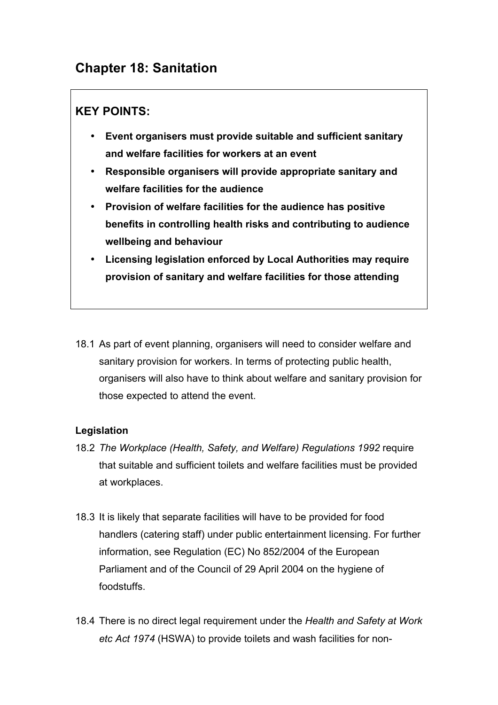# **Chapter 18: Sanitation**

## **KEY POINTS:**

- **Event organisers must provide suitable and sufficient sanitary and welfare facilities for workers at an event**
- **Responsible organisers will provide appropriate sanitary and welfare facilities for the audience**
- **Provision of welfare facilities for the audience has positive benefits in controlling health risks and contributing to audience wellbeing and behaviour**
- **Licensing legislation enforced by Local Authorities may require provision of sanitary and welfare facilities for those attending**
- 18.1 As part of event planning, organisers will need to consider welfare and sanitary provision for workers. In terms of protecting public health, organisers will also have to think about welfare and sanitary provision for those expected to attend the event.

## **Legislation**

- 18.2 *The Workplace (Health, Safety, and Welfare) Regulations 1992* require that suitable and sufficient toilets and welfare facilities must be provided at workplaces.
- 18.3 It is likely that separate facilities will have to be provided for food handlers (catering staff) under public entertainment licensing. For further information, see Regulation (EC) No 852/2004 of the European Parliament and of the Council of 29 April 2004 on the hygiene of foodstuffs.
- 18.4 There is no direct legal requirement under the *Health and Safety at Work etc Act 1974* (HSWA) to provide toilets and wash facilities for non-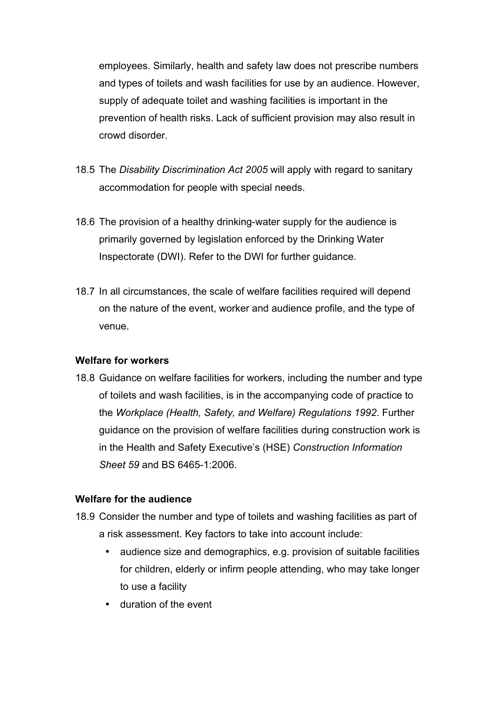employees. Similarly, health and safety law does not prescribe numbers and types of toilets and wash facilities for use by an audience. However, supply of adequate toilet and washing facilities is important in the prevention of health risks. Lack of sufficient provision may also result in crowd disorder.

- 18.5 The *Disability Discrimination Act 2005* will apply with regard to sanitary accommodation for people with special needs.
- 18.6 The provision of a healthy drinking-water supply for the audience is primarily governed by legislation enforced by the Drinking Water Inspectorate (DWI). Refer to the DWI for further guidance.
- 18.7 In all circumstances, the scale of welfare facilities required will depend on the nature of the event, worker and audience profile, and the type of venue.

## **Welfare for workers**

18.8 Guidance on welfare facilities for workers, including the number and type of toilets and wash facilities, is in the accompanying code of practice to the *Workplace (Health, Safety, and Welfare) Regulations 1992*. Further guidance on the provision of welfare facilities during construction work is in the Health and Safety Executive's (HSE) *Construction Information Sheet 59* and BS 6465-1:2006.

## **Welfare for the audience**

- 18.9 Consider the number and type of toilets and washing facilities as part of a risk assessment. Key factors to take into account include:
	- audience size and demographics, e.g. provision of suitable facilities for children, elderly or infirm people attending, who may take longer to use a facility
	- duration of the event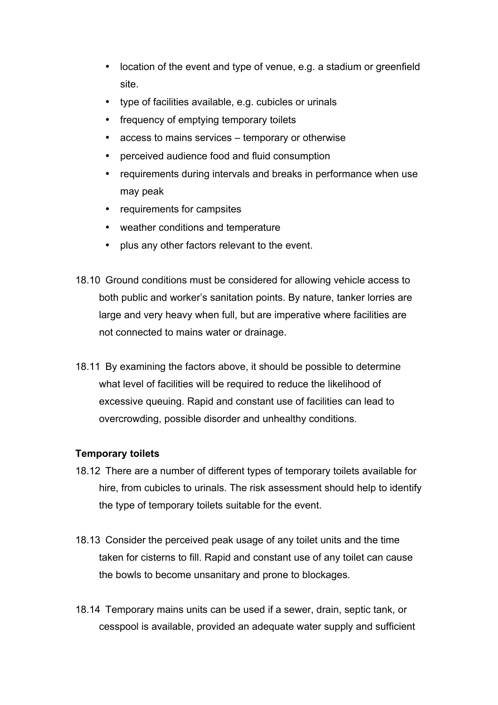- location of the event and type of venue, e.g. a stadium or greenfield site.
- type of facilities available, e.g. cubicles or urinals
- frequency of emptying temporary toilets
- access to mains services temporary or otherwise
- perceived audience food and fluid consumption
- requirements during intervals and breaks in performance when use may peak
- requirements for campsites
- weather conditions and temperature
- plus any other factors relevant to the event.
- 18.10 Ground conditions must be considered for allowing vehicle access to both public and worker's sanitation points. By nature, tanker lorries are large and very heavy when full, but are imperative where facilities are not connected to mains water or drainage.
- 18.11 By examining the factors above, it should be possible to determine what level of facilities will be required to reduce the likelihood of excessive queuing. Rapid and constant use of facilities can lead to overcrowding, possible disorder and unhealthy conditions.

## **Temporary toilets**

- 18.12 There are a number of different types of temporary toilets available for hire, from cubicles to urinals. The risk assessment should help to identify the type of temporary toilets suitable for the event.
- 18.13 Consider the perceived peak usage of any toilet units and the time taken for cisterns to fill. Rapid and constant use of any toilet can cause the bowls to become unsanitary and prone to blockages.
- 18.14 Temporary mains units can be used if a sewer, drain, septic tank, or cesspool is available, provided an adequate water supply and sufficient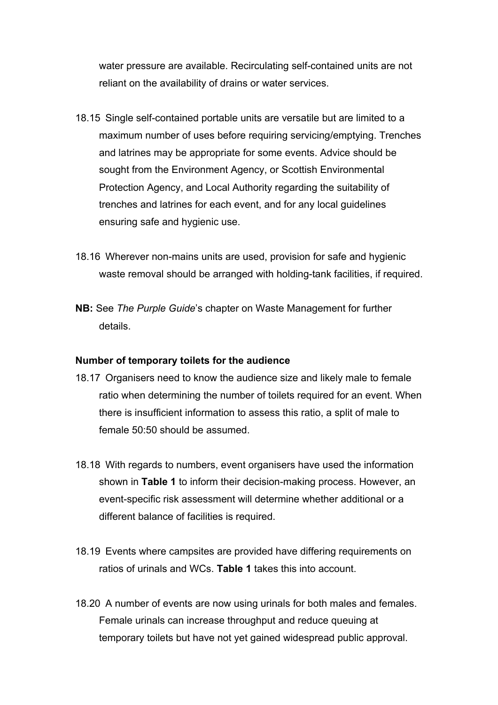water pressure are available. Recirculating self-contained units are not reliant on the availability of drains or water services.

- 18.15 Single self-contained portable units are versatile but are limited to a maximum number of uses before requiring servicing/emptying. Trenches and latrines may be appropriate for some events. Advice should be sought from the Environment Agency, or Scottish Environmental Protection Agency, and Local Authority regarding the suitability of trenches and latrines for each event, and for any local guidelines ensuring safe and hygienic use.
- 18.16 Wherever non-mains units are used, provision for safe and hygienic waste removal should be arranged with holding-tank facilities, if required.
- **NB:** See *The Purple Guide*'s chapter on Waste Management for further details.

## **Number of temporary toilets for the audience**

- 18.17 Organisers need to know the audience size and likely male to female ratio when determining the number of toilets required for an event. When there is insufficient information to assess this ratio, a split of male to female 50:50 should be assumed.
- 18.18 With regards to numbers, event organisers have used the information shown in **Table 1** to inform their decision-making process. However, an event-specific risk assessment will determine whether additional or a different balance of facilities is required.
- 18.19 Events where campsites are provided have differing requirements on ratios of urinals and WCs. **Table 1** takes this into account.
- 18.20 A number of events are now using urinals for both males and females. Female urinals can increase throughput and reduce queuing at temporary toilets but have not yet gained widespread public approval.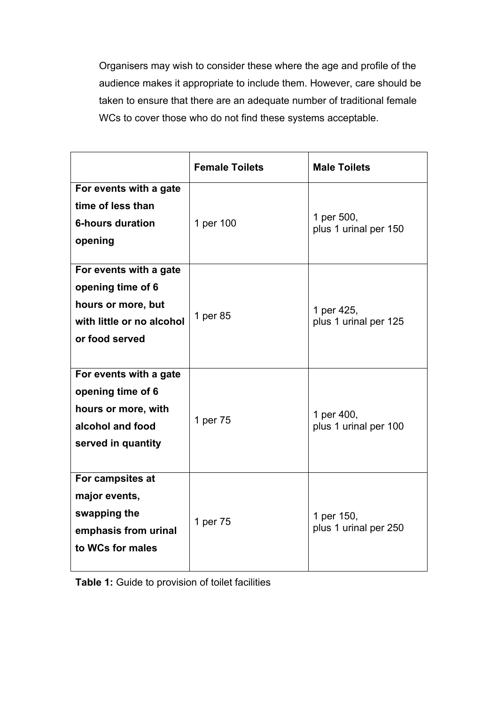Organisers may wish to consider these where the age and profile of the audience makes it appropriate to include them. However, care should be taken to ensure that there are an adequate number of traditional female WCs to cover those who do not find these systems acceptable.

|                                                                                                                  | <b>Female Toilets</b> | <b>Male Toilets</b>                 |
|------------------------------------------------------------------------------------------------------------------|-----------------------|-------------------------------------|
| For events with a gate<br>time of less than<br><b>6-hours duration</b><br>opening                                | 1 per 100             | 1 per 500,<br>plus 1 urinal per 150 |
| For events with a gate<br>opening time of 6<br>hours or more, but<br>with little or no alcohol<br>or food served | 1 per 85              | 1 per 425,<br>plus 1 urinal per 125 |
| For events with a gate<br>opening time of 6<br>hours or more, with<br>alcohol and food<br>served in quantity     | 1 per 75              | 1 per 400,<br>plus 1 urinal per 100 |
| For campsites at<br>major events,<br>swapping the<br>emphasis from urinal<br>to WCs for males                    | 1 per 75              | 1 per 150,<br>plus 1 urinal per 250 |

**Table 1:** Guide to provision of toilet facilities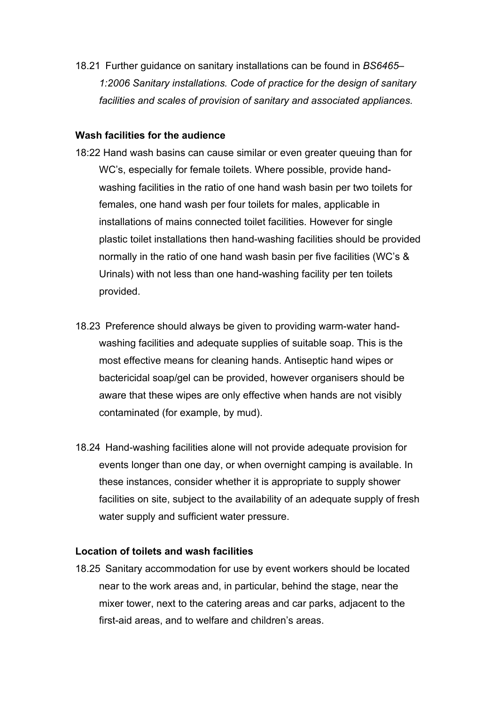18.21 Further guidance on sanitary installations can be found in *BS6465– 1:2006 Sanitary installations. Code of practice for the design of sanitary facilities and scales of provision of sanitary and associated appliances.*

#### **Wash facilities for the audience**

- 18:22 Hand wash basins can cause similar or even greater queuing than for WC's, especially for female toilets. Where possible, provide handwashing facilities in the ratio of one hand wash basin per two toilets for females, one hand wash per four toilets for males, applicable in installations of mains connected toilet facilities. However for single plastic toilet installations then hand-washing facilities should be provided normally in the ratio of one hand wash basin per five facilities (WC's & Urinals) with not less than one hand-washing facility per ten toilets provided.
- 18.23 Preference should always be given to providing warm-water handwashing facilities and adequate supplies of suitable soap. This is the most effective means for cleaning hands. Antiseptic hand wipes or bactericidal soap/gel can be provided, however organisers should be aware that these wipes are only effective when hands are not visibly contaminated (for example, by mud).
- 18.24 Hand-washing facilities alone will not provide adequate provision for events longer than one day, or when overnight camping is available. In these instances, consider whether it is appropriate to supply shower facilities on site, subject to the availability of an adequate supply of fresh water supply and sufficient water pressure.

#### **Location of toilets and wash facilities**

18.25 Sanitary accommodation for use by event workers should be located near to the work areas and, in particular, behind the stage, near the mixer tower, next to the catering areas and car parks, adjacent to the first-aid areas, and to welfare and children's areas.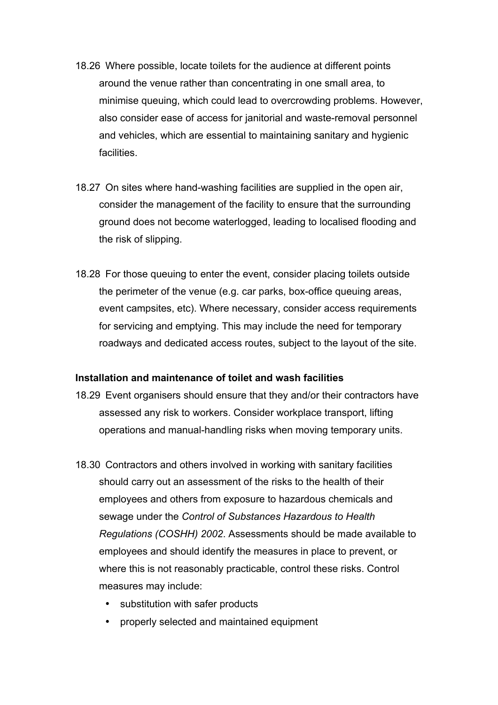- 18.26 Where possible, locate toilets for the audience at different points around the venue rather than concentrating in one small area, to minimise queuing, which could lead to overcrowding problems. However, also consider ease of access for janitorial and waste-removal personnel and vehicles, which are essential to maintaining sanitary and hygienic facilities.
- 18.27 On sites where hand-washing facilities are supplied in the open air, consider the management of the facility to ensure that the surrounding ground does not become waterlogged, leading to localised flooding and the risk of slipping.
- 18.28 For those queuing to enter the event, consider placing toilets outside the perimeter of the venue (e.g. car parks, box-office queuing areas, event campsites, etc). Where necessary, consider access requirements for servicing and emptying. This may include the need for temporary roadways and dedicated access routes, subject to the layout of the site.

## **Installation and maintenance of toilet and wash facilities**

- 18.29 Event organisers should ensure that they and/or their contractors have assessed any risk to workers. Consider workplace transport, lifting operations and manual-handling risks when moving temporary units.
- 18.30 Contractors and others involved in working with sanitary facilities should carry out an assessment of the risks to the health of their employees and others from exposure to hazardous chemicals and sewage under the *Control of Substances Hazardous to Health Regulations (COSHH) 2002*. Assessments should be made available to employees and should identify the measures in place to prevent, or where this is not reasonably practicable, control these risks. Control measures may include:
	- substitution with safer products
	- properly selected and maintained equipment